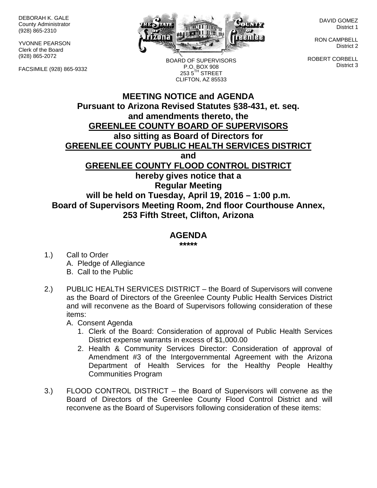DEBORAH K. GALE County Administrator (928) 865-2310

YVONNE PEARSON Clerk of the Board (928) 865-2072

FACSIMILE (928) 865-9332



BOARD OF SUPERVISORS

DAVID GOMEZ District 1

RON CAMPBELL District 2

ROBERT CORBELL District 3

**MEETING NOTICE and AGENDA Pursuant to Arizona Revised Statutes §38-431, et. seq. and amendments thereto, the GREENLEE COUNTY BOARD OF SUPERVISORS also sitting as Board of Directors for** P.O. BOX 908  $253.5$ <sup>TH</sup> STREET CLIFTON, AZ 85533

**GREENLEE COUNTY PUBLIC HEALTH SERVICES DISTRICT**

**and**

**GREENLEE COUNTY FLOOD CONTROL DISTRICT**

**hereby gives notice that a Regular Meeting will be held on Tuesday, April 19, 2016 – 1:00 p.m. Board of Supervisors Meeting Room, 2nd floor Courthouse Annex, 253 Fifth Street, Clifton, Arizona**

## **AGENDA**

**\*\*\*\*\***

- 1.) Call to Order A. Pledge of Allegiance B. Call to the Public
- 2.) PUBLIC HEALTH SERVICES DISTRICT the Board of Supervisors will convene as the Board of Directors of the Greenlee County Public Health Services District and will reconvene as the Board of Supervisors following consideration of these items:

A. Consent Agenda

- 1. Clerk of the Board: Consideration of approval of Public Health Services District expense warrants in excess of \$1,000.00
- 2. Health & Community Services Director: Consideration of approval of Amendment #3 of the Intergovernmental Agreement with the Arizona Department of Health Services for the Healthy People Healthy Communities Program
- 3.) FLOOD CONTROL DISTRICT the Board of Supervisors will convene as the Board of Directors of the Greenlee County Flood Control District and will reconvene as the Board of Supervisors following consideration of these items: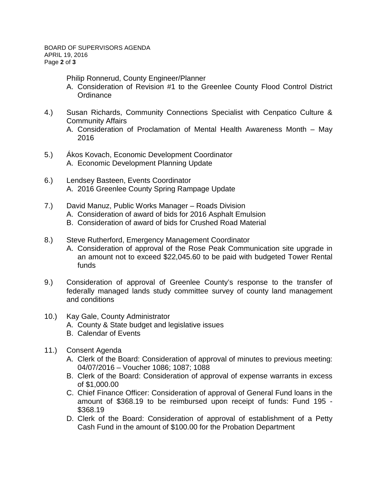2016

Philip Ronnerud, County Engineer/Planner

- A. Consideration of Revision #1 to the Greenlee County Flood Control District **Ordinance**
- 4.) Susan Richards, Community Connections Specialist with Cenpatico Culture & Community Affairs A. Consideration of Proclamation of Mental Health Awareness Month – May
- 5.) Ákos Kovach, Economic Development Coordinator A. Economic Development Planning Update
- 6.) Lendsey Basteen, Events Coordinator A. 2016 Greenlee County Spring Rampage Update
- 7.) David Manuz, Public Works Manager Roads Division
	- A. Consideration of award of bids for 2016 Asphalt Emulsion
	- B. Consideration of award of bids for Crushed Road Material
- 8.) Steve Rutherford, Emergency Management Coordinator
	- A. Consideration of approval of the Rose Peak Communication site upgrade in an amount not to exceed \$22,045.60 to be paid with budgeted Tower Rental funds
- 9.) Consideration of approval of Greenlee County's response to the transfer of federally managed lands study committee survey of county land management and conditions
- 10.) Kay Gale, County Administrator
	- A. County & State budget and legislative issues
	- B. Calendar of Events
- 11.) Consent Agenda
	- A. Clerk of the Board: Consideration of approval of minutes to previous meeting: 04/07/2016 – Voucher 1086; 1087; 1088
	- B. Clerk of the Board: Consideration of approval of expense warrants in excess of \$1,000.00
	- C. Chief Finance Officer: Consideration of approval of General Fund loans in the amount of \$368.19 to be reimbursed upon receipt of funds: Fund 195 - \$368.19
	- D. Clerk of the Board: Consideration of approval of establishment of a Petty Cash Fund in the amount of \$100.00 for the Probation Department